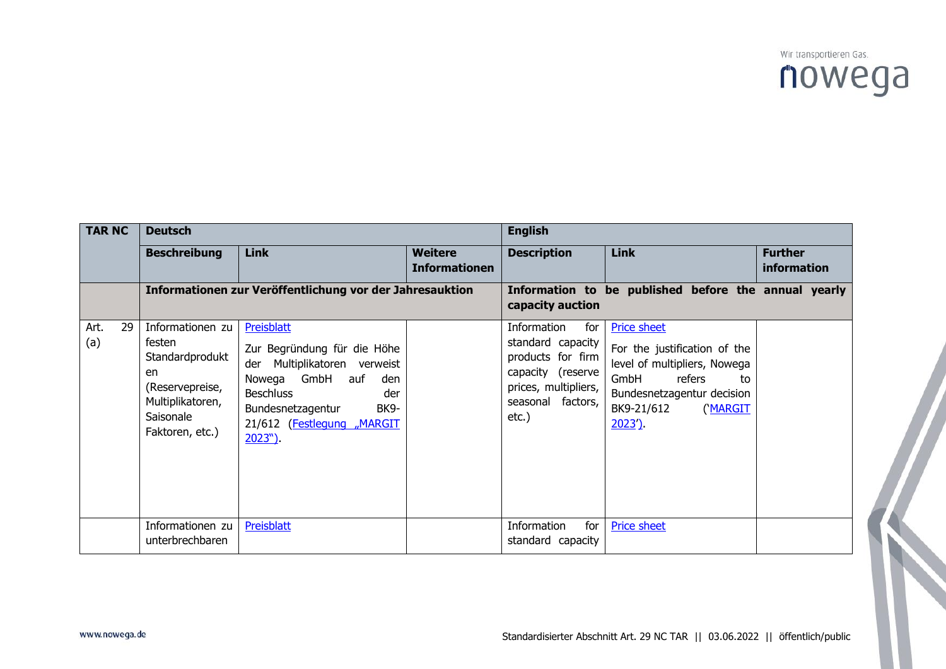

| <b>TAR NC</b> |    | <b>Deutsch</b>                                                                                                             |                                                                                                                                                                                                       |                                        | <b>English</b>                                                                                                                             |                                                                                                                                                                             |                               |  |
|---------------|----|----------------------------------------------------------------------------------------------------------------------------|-------------------------------------------------------------------------------------------------------------------------------------------------------------------------------------------------------|----------------------------------------|--------------------------------------------------------------------------------------------------------------------------------------------|-----------------------------------------------------------------------------------------------------------------------------------------------------------------------------|-------------------------------|--|
|               |    | <b>Beschreibung</b>                                                                                                        | <b>Link</b>                                                                                                                                                                                           | <b>Weitere</b><br><b>Informationen</b> | <b>Description</b>                                                                                                                         | <b>Link</b>                                                                                                                                                                 | <b>Further</b><br>information |  |
|               |    | Informationen zur Veröffentlichung vor der Jahresauktion                                                                   |                                                                                                                                                                                                       |                                        | capacity auction                                                                                                                           | Information to be published before the annual yearly                                                                                                                        |                               |  |
| Art.<br>(a)   | 29 | Informationen zu<br>festen<br>Standardprodukt<br>en<br>(Reservepreise,<br>Multiplikatoren,<br>Saisonale<br>Faktoren, etc.) | Preisblatt<br>Zur Begründung für die Höhe<br>Multiplikatoren verweist<br>der<br>Nowega GmbH auf<br>den<br><b>Beschluss</b><br>der<br>BK9-<br>Bundesnetzagentur<br>21/612 (Festlegung "MARGIT<br>2023" |                                        | Information<br>for<br>standard capacity<br>products for firm<br>capacity (reserve<br>prices, multipliers,<br>seasonal factors,<br>$etc.$ ) | <b>Price sheet</b><br>For the justification of the<br>level of multipliers, Nowega<br>GmbH<br>refers<br>to<br>Bundesnetzagentur decision<br>BK9-21/612<br>('MARGIT<br>2023' |                               |  |
|               |    | Informationen zu<br>unterbrechbaren                                                                                        | Preisblatt                                                                                                                                                                                            |                                        | Information<br>for<br>standard capacity                                                                                                    | <b>Price sheet</b>                                                                                                                                                          |                               |  |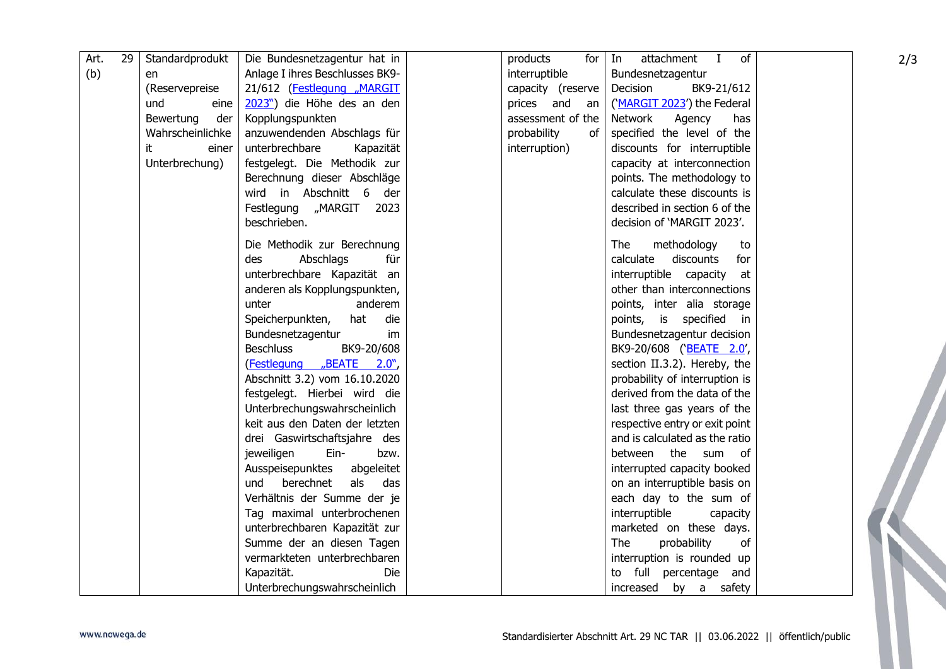| Art. | 29 | Standardprodukt  | Die Bundesnetzagentur hat in    | products          | attachment I<br>of<br>for $ $ In | 2/3 |
|------|----|------------------|---------------------------------|-------------------|----------------------------------|-----|
| (b)  |    | en               | Anlage I ihres Beschlusses BK9- | interruptible     | Bundesnetzagentur                |     |
|      |    | (Reservepreise   | 21/612 (Festlegung "MARGIT      | capacity (reserve | Decision<br>BK9-21/612           |     |
|      |    | und<br>eine      | 2023") die Höhe des an den      | prices and<br>an  | ('MARGIT 2023') the Federal      |     |
|      |    | Bewertung<br>der | Kopplungspunkten                | assessment of the | Network<br>Agency<br>has         |     |
|      |    | Wahrscheinlichke | anzuwendenden Abschlags für     | probability<br>of | specified the level of the       |     |
|      |    | it<br>einer      | unterbrechbare<br>Kapazität     | interruption)     | discounts for interruptible      |     |
|      |    | Unterbrechung)   | festgelegt. Die Methodik zur    |                   | capacity at interconnection      |     |
|      |    |                  | Berechnung dieser Abschläge     |                   | points. The methodology to       |     |
|      |    |                  | wird in Abschnitt 6<br>der      |                   | calculate these discounts is     |     |
|      |    |                  | Festlegung "MARGIT<br>2023      |                   | described in section 6 of the    |     |
|      |    |                  | beschrieben.                    |                   | decision of 'MARGIT 2023'.       |     |
|      |    |                  |                                 |                   |                                  |     |
|      |    |                  | Die Methodik zur Berechnung     |                   | <b>The</b><br>methodology<br>to  |     |
|      |    |                  | des<br>Abschlags<br>für         |                   | calculate discounts<br>for       |     |
|      |    |                  | unterbrechbare Kapazität an     |                   | interruptible capacity<br>at     |     |
|      |    |                  | anderen als Kopplungspunkten,   |                   | other than interconnections      |     |
|      |    |                  | unter<br>anderem                |                   | points, inter alia storage       |     |
|      |    |                  | Speicherpunkten,<br>hat<br>die  |                   | points, is specified<br>in       |     |
|      |    |                  | Bundesnetzagentur<br>im         |                   | Bundesnetzagentur decision       |     |
|      |    |                  | <b>Beschluss</b><br>BK9-20/608  |                   | BK9-20/608 ('BEATE 2.0',         |     |
|      |    |                  | (Festlegung "BEATE 2.0",        |                   | section II.3.2). Hereby, the     |     |
|      |    |                  | Abschnitt 3.2) vom 16.10.2020   |                   | probability of interruption is   |     |
|      |    |                  | festgelegt. Hierbei wird die    |                   | derived from the data of the     |     |
|      |    |                  | Unterbrechungswahrscheinlich    |                   | last three gas years of the      |     |
|      |    |                  | keit aus den Daten der letzten  |                   | respective entry or exit point   |     |
|      |    |                  | drei Gaswirtschaftsjahre des    |                   | and is calculated as the ratio   |     |
|      |    |                  | jeweiligen<br>Ein-<br>bzw.      |                   | between the sum of               |     |
|      |    |                  | Ausspeisepunktes<br>abgeleitet  |                   | interrupted capacity booked      |     |
|      |    |                  | berechnet<br>als<br>das<br>und  |                   | on an interruptible basis on     |     |
|      |    |                  | Verhältnis der Summe der je     |                   | each day to the sum of           |     |
|      |    |                  | Tag maximal unterbrochenen      |                   | interruptible<br>capacity        |     |
|      |    |                  | unterbrechbaren Kapazität zur   |                   | marketed on these days.          |     |
|      |    |                  | Summe der an diesen Tagen       |                   | The<br>probability<br>of         |     |
|      |    |                  | vermarkteten unterbrechbaren    |                   | interruption is rounded up       |     |
|      |    |                  | Kapazität.<br>Die               |                   | to full percentage and           |     |
|      |    |                  | Unterbrechungswahrscheinlich    |                   | increased by a safety            |     |